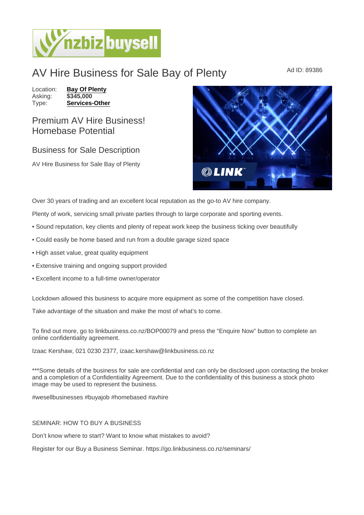## AV Hire Business for Sale Bay of Plenty Ad ID: 89386

Location: **[Bay Of Plenty](https://www.nzbizbuysell.co.nz/businesses-for-sale/location/Bay-Of-Plenty)**<br>Asking: \$345,000 Asking:<br>Type: [Services-Other](https://www.nzbizbuysell.co.nz/businesses-for-sale/Services/New-Zealand)

## Premium AV Hire Business! Homebase Potential

## Business for Sale Description

AV Hire Business for Sale Bay of Plenty

Over 30 years of trading and an excellent local reputation as the go-to AV hire company.

Plenty of work, servicing small private parties through to large corporate and sporting events.

- Sound reputation, key clients and plenty of repeat work keep the business ticking over beautifully
- Could easily be home based and run from a double garage sized space
- High asset value, great quality equipment
- Extensive training and ongoing support provided
- Excellent income to a full-time owner/operator

Lockdown allowed this business to acquire more equipment as some of the competition have closed.

Take advantage of the situation and make the most of what's to come.

To find out more, go to linkbusiness.co.nz/BOP00079 and press the "Enquire Now" button to complete an online confidentiality agreement.

Izaac Kershaw, 021 0230 2377, izaac.kershaw@linkbusiness.co.nz

\*\*\*Some details of the business for sale are confidential and can only be disclosed upon contacting the broker and a completion of a Confidentiality Agreement. Due to the confidentiality of this business a stock photo image may be used to represent the business.

#wesellbusinesses #buyajob #homebased #avhire

## SEMINAR: HOW TO BUY A BUSINESS

Don't know where to start? Want to know what mistakes to avoid?

Register for our Buy a Business Seminar. https://go.linkbusiness.co.nz/seminars/